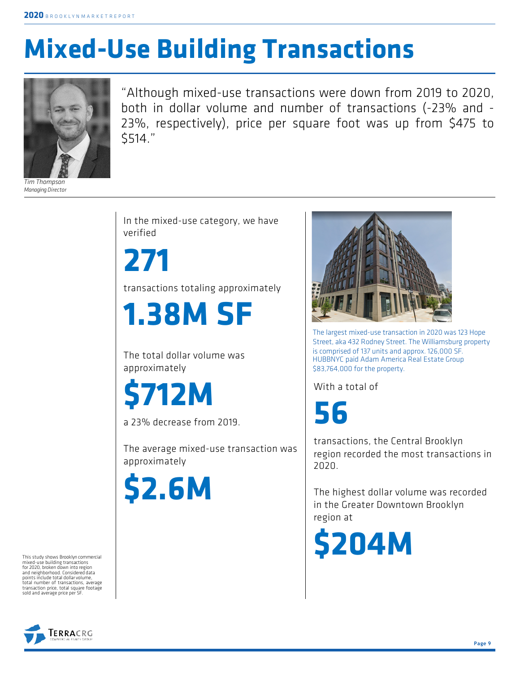## **Mixed-Use Building Transactions**



*Tim Thompson* **Managing Director** 

"Although mixed-use transactions were down from 2019 to 2020, both in dollar volume and number of transactions (-23% and - 23%, respectively), price per square foot was up from \$475 to \$514."

In the mixed-use category, we have verified

**271** transactions totaling approximately

**1.38M SF**

The total dollar volume was approximately

**\$712M**

a 23% decrease from 2019.

The average mixed-use transaction was approximately

**\$2.6M**

The largest mixed-use transaction in 2020 was 123 Hope Street, aka 432 Rodney Street. The Williamsburg property is comprised of 137 units and approx. 126,000 SF. HUBBNYC paid Adam America Real Estate Group \$83,764,000 for the property.

With a total of

**56**

transactions, the Central Brooklyn region recorded the most transactions in 2020.

The highest dollar volume was recorded in the Greater Downtown Brooklyn region at

**\$204M**

This study shows Brooklyn commercial mixed-use building transactions for 2020, broken down into region and neighborhood. Considered data points include total dollar volume, total number of transactions, average transaction price, total square footage sold and average price per SF.

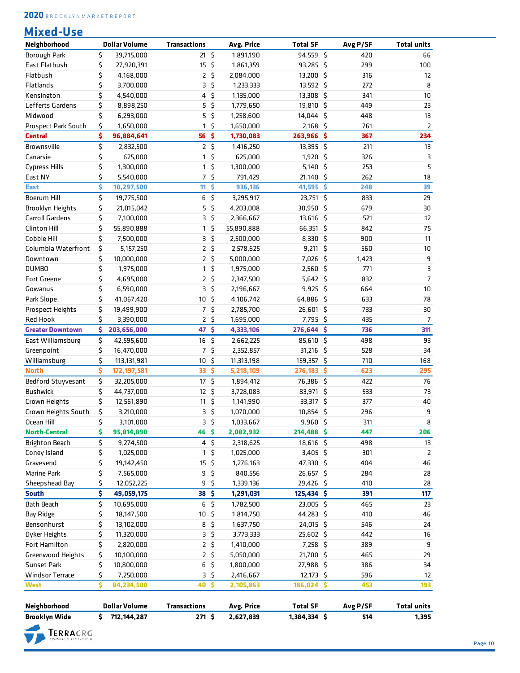| 2020 BROOKLYNMARKETREPORT |  |  |  |  |  |  |  |  |  |  |  |  |  |  |  |  |  |  |  |  |  |
|---------------------------|--|--|--|--|--|--|--|--|--|--|--|--|--|--|--|--|--|--|--|--|--|
|---------------------------|--|--|--|--|--|--|--|--|--|--|--|--|--|--|--|--|--|--|--|--|--|

| <b>Mixed-Use</b><br>Neighborhood |    | <b>Dollar Volume</b> | <b>Transactions</b> |                 | Avg. Price | <b>Total SF</b> |          | Avg P/SF | <b>Total units</b> |
|----------------------------------|----|----------------------|---------------------|-----------------|------------|-----------------|----------|----------|--------------------|
| Borough Park                     | \$ | 39,715,000           | $21 \frac{2}{3}$    |                 | 1,891,190  | 94,559 \$       |          | 420      | 66                 |
| East Flatbush                    | \$ | 27,920,391           | 15                  | - \$            | 1,861,359  | 93,285 \$       |          | 299      | 100                |
| Flatbush                         | \$ | 4,168,000            | $\mathbf{2}$        | \$              | 2,084,000  | 13,200 \$       |          | 316      | 12                 |
| Flatlands                        | \$ | 3,700,000            | 3                   | \$              | 1,233,333  | 13,592 \$       |          | 272      | 8                  |
| Kensington                       | \$ | 4,540,000            | 4                   | \$              | 1,135,000  | 13,308 \$       |          | 341      | $10\,$             |
| Lefferts Gardens                 | \$ | 8,898,250            | 5                   | \$              | 1,779,650  | 19,810 \$       |          | 449      | 23                 |
| Midwood                          | \$ | 6,293,000            | 5                   | \$              | 1,258,600  | 14,044 \$       |          | 448      | 13                 |
| Prospect Park South              | \$ | 1,650,000            | 1                   | \$              | 1,650,000  | 2,168 \$        |          | 761      | $\mathsf{2}$       |
| <b>Central</b>                   | \$ | 96,884,641           | 56                  | $\ddot{\bm{s}}$ | 1,730,083  | 263,966         | -\$      | 367      | 234                |
| Brownsville                      | \$ | 2,832,500            |                     | 2 <sup>5</sup>  | 1,416,250  | 13,395 \$       |          | 211      | 13                 |
| Canarsie                         | \$ | 625,000              | 1                   | \$              | 625,000    | 1,920 \$        |          | 326      | 3                  |
| <b>Cypress Hills</b>             | \$ | 1,300,000            | 1                   | \$              | 1,300,000  | $5,140$ \$      |          | 253      | 5                  |
| East NY                          | \$ | 5,540,000            | $7^{\circ}$         | $\zeta$         | 791,429    | 21,140 \$       |          | 262      | 18                 |
| <b>East</b>                      | \$ | 10,297,500           | 11                  | Ŝ               | 936,136    | 41,595          | Ŝ        | 248      | 39                 |
| Boerum Hill                      | \$ | 19,775,500           |                     | $6\frac{2}{3}$  | 3,295,917  | 23,751 \$       |          | 833      | 29                 |
| <b>Brooklyn Heights</b>          | \$ | 21,015,042           | 5                   | \$              | 4,203,008  | 30,950 \$       |          | 679      | 30                 |
| Carroll Gardens                  | \$ | 7,100,000            | 3                   | \$              | 2,366,667  | $13,616$ \$     |          | 521      | 12                 |
| <b>Clinton Hill</b>              | \$ | 55,890,888           | 1                   | \$              | 55,890,888 | 66,351 \$       |          | 842      | 75                 |
| Cobble Hill                      | \$ | 7,500,000            | 3                   | \$              | 2,500,000  | $8,330$ \$      |          | 900      | 11                 |
| Columbia Waterfront              | \$ | 5,157,250            | $\mathbf{2}$        | \$              | 2,578,625  | $9,211$ \$      |          | 560      | 10                 |
| Downtown                         | \$ | 10,000,000           |                     | 2 <sup>5</sup>  | 5,000,000  | 7,026 \$        |          | 1,423    | 9                  |
| <b>DUMBO</b>                     | \$ | 1,975,000            | 1                   | \$              | 1,975,000  | $2,560$ \$      |          | 771      | 3                  |
| <b>Fort Greene</b>               | \$ |                      | $\overline{2}$      | \$              |            | $5,642$ \$      |          | 832      | $\overline{7}$     |
|                                  | \$ | 4,695,000            |                     |                 | 2,347,500  |                 |          |          | 10                 |
| Gowanus                          |    | 6,590,000            | 3                   | \$              | 2,196,667  | $9,925$ \$      |          | 664      |                    |
| Park Slope                       | \$ | 41,067,420           | 10                  | \$              | 4,106,742  | 64,886 \$       |          | 633      | 78                 |
| Prospect Heights                 | \$ | 19,499,900           | $\overline{7}$      | \$              | 2,785,700  | 26,601 \$       |          | 733      | 30                 |
| <b>Red Hook</b>                  | \$ | 3,390,000            | $\overline{2}$      | \$              | 1,695,000  | 7,795 \$        |          | 435      | $\overline{7}$     |
| <b>Greater Downtown</b>          | \$ | 203,656,000          | 47                  | \$              | 4,333,106  | 276,644         | -\$      | 736      | 311                |
| East Williamsburg                | \$ | 42,595,600           | 16                  | \$              | 2,662,225  | 85,610 \$       |          | 498      | 93                 |
| Greenpoint                       | \$ | 16,470,000           | $\overline{7}$      | \$              | 2,352,857  | $31,216$ \$     |          | 528      | 34                 |
| Williamsburg                     | \$ | 113,131,981          | 10                  | \$              | 11,313,198 | 159,357 \$      |          | 710      | 168                |
| <b>North</b>                     | \$ | 172, 197, 581        | 33                  | \$              | 5,218,109  | 276,183         | <b>S</b> | 623      | 295                |
| Bedford Stuyvesant               | \$ | 32,205,000           | 17 <sup>2</sup>     | \$              | 1,894,412  | 76,386          | $\zeta$  | 422      | 76                 |
| <b>Bushwick</b>                  | \$ | 44,737,000           | 12                  | \$              | 3,728,083  | 83,971 \$       |          | 533      | 73                 |
| Crown Heights                    | \$ | 12,561,890           | $11 \frac{1}{2}$    |                 | 1,141,990  | 33,317 \$       |          | 377      | 40                 |
| Crown Heights South              | \$ | 3,210,000            | 3                   | \$              | 1,070,000  | 10,854 \$       |          | 296      | 9                  |
| Ocean Hill                       | \$ | 3,101,000            | 3                   | \$              | 1,033,667  | $9,960$ \$      |          | 311      | 8                  |
| <b>North-Central</b>             | \$ | 95,814,890           | 46                  | \$              | 2,082,932  | 214,488 \$      |          | 447      | 206                |
| <b>Brighton Beach</b>            | \$ | 9,274,500            |                     | $4\frac{1}{2}$  | 2,318,625  | 18,616 \$       |          | 498      | 13                 |
| Coney Island                     | \$ | 1,025,000            | 1                   | \$              | 1,025,000  | 3,405 \$        |          | 301      | 2                  |
| Gravesend                        | \$ | 19,142,450           | 15                  | \$              | 1,276,163  | 47,330\$        |          | 404      | 46                 |
| <b>Marine Park</b>               | \$ | 7,565,000            | 9                   | \$              | 840,556    | 26,657 \$       |          | 284      | 28                 |
| Sheepshead Bay                   | \$ | 12,052,225           | 9                   | \$              | 1,339,136  | 29,426 \$       |          | 410      | 28                 |
| <b>South</b>                     | \$ | 49,059,175           | 38 \$               |                 | 1,291,031  | 125,434 \$      |          | 391      | 117                |
| Bath Beach                       | \$ | 10,695,000           |                     | $6\sqrt{5}$     | 1,782,500  | 23,005 \$       |          | 465      | 23                 |
| <b>Bay Ridge</b>                 | \$ | 18,147,500           | 10                  | \$              | 1,814,750  | 44,283 \$       |          | 410      | 46                 |
| Bensonhurst                      | \$ | 13,102,000           | 8                   | \$              | 1,637,750  | 24,015 \$       |          | 546      | 24                 |
| Dyker Heights                    | \$ | 11,320,000           | 3                   | \$              | 3,773,333  | 25,602 \$       |          | 442      | 16                 |
| Fort Hamilton                    | \$ | 2,820,000            |                     | 2 <sup>5</sup>  | 1,410,000  | 7,258 \$        |          | 389      | 9                  |
| <b>Greenwood Heights</b>         | \$ | 10,100,000           |                     | 2 <sup>5</sup>  | 5,050,000  | 21,700 \$       |          | 465      | 29                 |
| Sunset Park                      | \$ | 10,800,000           | 6                   | \$              | 1,800,000  | 27,988 \$       |          | 386      | 34                 |
| <b>Windsor Terrace</b>           | \$ | 7,250,000            | 3                   | \$              | 2,416,667  | $12,173$ \$     |          | 596      | 12                 |
| <b>West</b>                      | Ś  | 84,234,500           | 40                  | \$              | 2,105,863  | 186,024 \$      |          | 453      | 193                |
|                                  |    |                      |                     |                 |            |                 |          |          |                    |
| Neighborhood                     |    | <b>Dollar Volume</b> | <b>Transactions</b> |                 | Avg. Price | <b>Total SF</b> |          | Avg P/SF | <b>Total units</b> |
| <b>Brooklyn Wide</b>             | \$ | 712, 144, 287        | $271$ \$            |                 | 2,627,839  | 1,384,334 \$    |          | 514      | 1,395              |
| TERRACRG                         |    |                      |                     |                 |            |                 |          |          |                    |